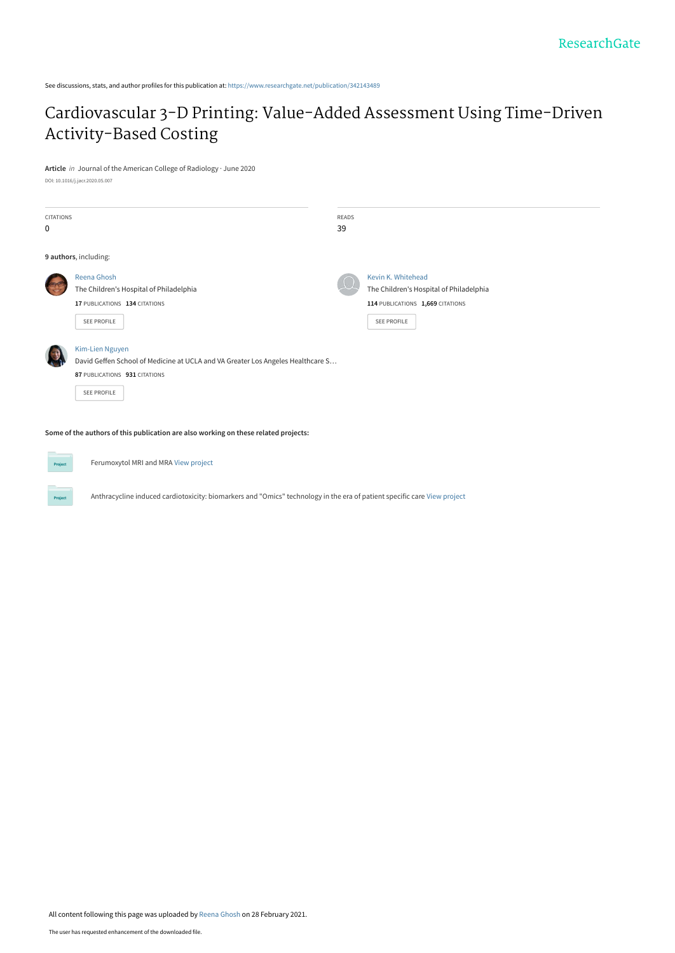See discussions, stats, and author profiles for this publication at: [https://www.researchgate.net/publication/342143489](https://www.researchgate.net/publication/342143489_Cardiovascular_3-D_Printing_Value-Added_Assessment_Using_Time-Driven_Activity-Based_Costing?enrichId=rgreq-2b86186a80850de451001acdcf53cc1a-XXX&enrichSource=Y292ZXJQYWdlOzM0MjE0MzQ4OTtBUzo5OTYyMjA5MTkwOTEyMDBAMTYxNDUyODk4NDYxNQ%3D%3D&el=1_x_2&_esc=publicationCoverPdf)

## [Cardiovascular 3-D Printing: Value-Added Assessment Using Time-Driven](https://www.researchgate.net/publication/342143489_Cardiovascular_3-D_Printing_Value-Added_Assessment_Using_Time-Driven_Activity-Based_Costing?enrichId=rgreq-2b86186a80850de451001acdcf53cc1a-XXX&enrichSource=Y292ZXJQYWdlOzM0MjE0MzQ4OTtBUzo5OTYyMjA5MTkwOTEyMDBAMTYxNDUyODk4NDYxNQ%3D%3D&el=1_x_3&_esc=publicationCoverPdf) Activity-Based Costing

**Article** in Journal of the American College of Radiology · June 2020

DOI: 10.1016/j.jacr.2020.05.007

| <b>CITATIONS</b> |                                                                                     | READS |                                         |
|------------------|-------------------------------------------------------------------------------------|-------|-----------------------------------------|
| 0                |                                                                                     | 39    |                                         |
|                  | 9 authors, including:                                                               |       |                                         |
|                  | Reena Ghosh                                                                         |       | Kevin K. Whitehead                      |
|                  | The Children's Hospital of Philadelphia                                             |       | The Children's Hospital of Philadelphia |
|                  | 17 PUBLICATIONS 134 CITATIONS                                                       |       | 114 PUBLICATIONS 1,669 CITATIONS        |
|                  | SEE PROFILE                                                                         |       | <b>SEE PROFILE</b>                      |
|                  | Kim-Lien Nguyen                                                                     |       |                                         |
|                  | David Geffen School of Medicine at UCLA and VA Greater Los Angeles Healthcare S     |       |                                         |
|                  | 87 PUBLICATIONS 931 CITATIONS                                                       |       |                                         |
|                  | <b>SEE PROFILE</b>                                                                  |       |                                         |
|                  | Some of the authors of this publication are also working on these related projects: |       |                                         |



Ferumoxytol MRI and MRA [View project](https://www.researchgate.net/project/Ferumoxytol-MRI-and-MRA?enrichId=rgreq-2b86186a80850de451001acdcf53cc1a-XXX&enrichSource=Y292ZXJQYWdlOzM0MjE0MzQ4OTtBUzo5OTYyMjA5MTkwOTEyMDBAMTYxNDUyODk4NDYxNQ%3D%3D&el=1_x_9&_esc=publicationCoverPdf)

Anthracycline induced cardiotoxicity: biomarkers and "Omics" technology in the era of patient specific care [View project](https://www.researchgate.net/project/Anthracycline-induced-cardiotoxicity-biomarkers-and-Omics-technology-in-the-era-of-patient-specific-care?enrichId=rgreq-2b86186a80850de451001acdcf53cc1a-XXX&enrichSource=Y292ZXJQYWdlOzM0MjE0MzQ4OTtBUzo5OTYyMjA5MTkwOTEyMDBAMTYxNDUyODk4NDYxNQ%3D%3D&el=1_x_9&_esc=publicationCoverPdf)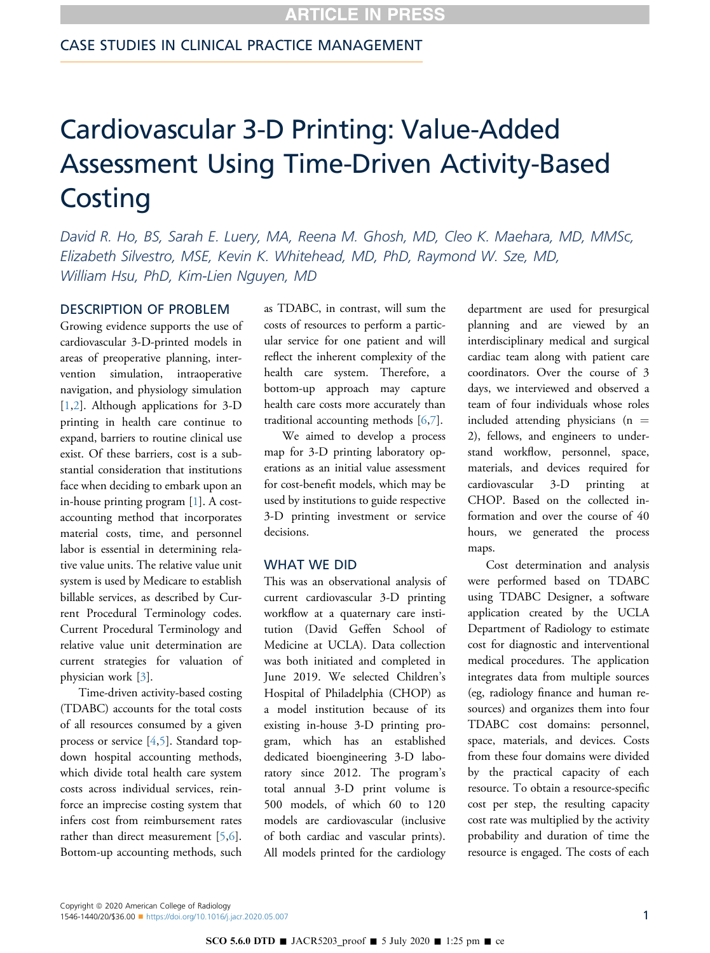# Cardiovascular 3-D Printing: Value-Added Assessment Using Time-Driven Activity-Based **Costing**

David R. Ho, BS, Sarah E. Luery, MA, Reena M. Ghosh, MD, Cleo K. Maehara, MD, MMSc, Elizabeth Silvestro, MSE, Kevin K. Whitehead, MD, PhD, Raymond W. Sze, MD, William Hsu, PhD, Kim-Lien Nguyen, MD

## DESCRIPTION OF PROBLEM

Growing evidence supports the use of cardiovascular 3-D-printed models in areas of preoperative planning, intervention simulation, intraoperative navigation, and physiology simulation [[1](#page-5-0),[2\]](#page-5-1). Although applications for 3-D printing in health care continue to expand, barriers to routine clinical use exist. Of these barriers, cost is a substantial consideration that institutions face when deciding to embark upon an in-house printing program [\[1](#page-5-0)]. A costaccounting method that incorporates material costs, time, and personnel labor is essential in determining relative value units. The relative value unit system is used by Medicare to establish billable services, as described by Current Procedural Terminology codes. Current Procedural Terminology and relative value unit determination are current strategies for valuation of physician work [[3\]](#page-5-2).

Time-driven activity-based costing (TDABC) accounts for the total costs of all resources consumed by a given process or service [[4](#page-5-3)[,5](#page-5-4)]. Standard topdown hospital accounting methods, which divide total health care system costs across individual services, reinforce an imprecise costing system that infers cost from reimbursement rates rather than direct measurement [\[5](#page-5-4),[6\]](#page-5-5). Bottom-up accounting methods, such as TDABC, in contrast, will sum the costs of resources to perform a particular service for one patient and will reflect the inherent complexity of the health care system. Therefore, a bottom-up approach may capture health care costs more accurately than traditional accounting methods [[6,](#page-5-5)[7](#page-6-0)].

We aimed to develop a process map for 3-D printing laboratory operations as an initial value assessment for cost-benefit models, which may be used by institutions to guide respective 3-D printing investment or service decisions.

#### WHAT WE DID

This was an observational analysis of current cardiovascular 3-D printing workflow at a quaternary care institution (David Geffen School of Medicine at UCLA). Data collection was both initiated and completed in June 2019. We selected Children's Hospital of Philadelphia (CHOP) as a model institution because of its existing in-house 3-D printing program, which has an established dedicated bioengineering 3-D laboratory since 2012. The program's total annual 3-D print volume is 500 models, of which 60 to 120 models are cardiovascular (inclusive of both cardiac and vascular prints). All models printed for the cardiology

department are used for presurgical planning and are viewed by an interdisciplinary medical and surgical cardiac team along with patient care coordinators. Over the course of 3 days, we interviewed and observed a team of four individuals whose roles included attending physicians ( $n =$ 2), fellows, and engineers to understand workflow, personnel, space, materials, and devices required for cardiovascular 3-D printing at CHOP. Based on the collected information and over the course of 40 hours, we generated the process maps.

Cost determination and analysis were performed based on TDABC using TDABC Designer, a software application created by the UCLA Department of Radiology to estimate cost for diagnostic and interventional medical procedures. The application integrates data from multiple sources (eg, radiology finance and human resources) and organizes them into four TDABC cost domains: personnel, space, materials, and devices. Costs from these four domains were divided by the practical capacity of each resource. To obtain a resource-specific cost per step, the resulting capacity cost rate was multiplied by the activity probability and duration of time the resource is engaged. The costs of each

Copyright © 2020 American College of Radiology 1546-1440/20/\$36.00 <sup>n</sup> <https://doi.org/10.1016/j.jacr.2020.05.007> 1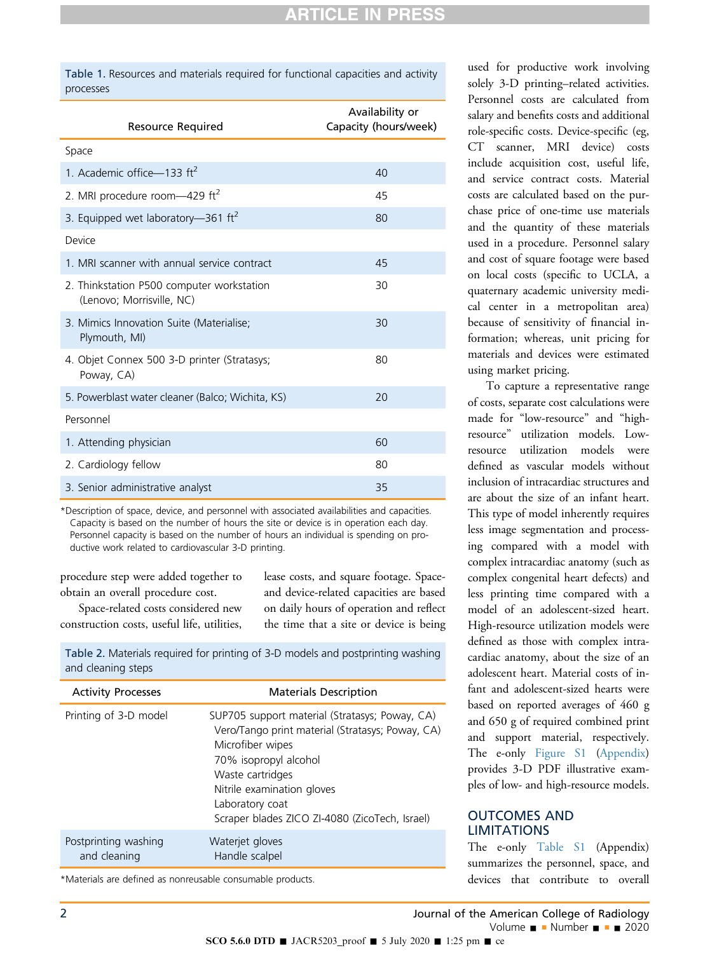<span id="page-2-0"></span>Table 1. Resources and materials required for functional capacities and activity processes

| Resource Required                                                      | Availability or<br>Capacity (hours/week) |  |  |  |
|------------------------------------------------------------------------|------------------------------------------|--|--|--|
| Space                                                                  |                                          |  |  |  |
| 1. Academic office-133 ft <sup>2</sup>                                 | 40                                       |  |  |  |
| 2. MRI procedure room-429 ft <sup>2</sup>                              | 45                                       |  |  |  |
| 3. Equipped wet laboratory-361 ft <sup>2</sup>                         | 80                                       |  |  |  |
| Device                                                                 |                                          |  |  |  |
| 1. MRI scanner with annual service contract                            | 45                                       |  |  |  |
| 2. Thinkstation P500 computer workstation<br>(Lenovo; Morrisville, NC) | 30                                       |  |  |  |
| 3. Mimics Innovation Suite (Materialise;<br>Plymouth, MI)              | 30                                       |  |  |  |
| 4. Objet Connex 500 3-D printer (Stratasys;<br>Poway, CA)              | 80                                       |  |  |  |
| 5. Powerblast water cleaner (Balco; Wichita, KS)                       | 20                                       |  |  |  |
| Personnel                                                              |                                          |  |  |  |
| 1. Attending physician                                                 | 60                                       |  |  |  |
| 2. Cardiology fellow                                                   | 80                                       |  |  |  |
| 3. Senior administrative analyst                                       | 35                                       |  |  |  |

\*Description of space, device, and personnel with associated availabilities and capacities. Capacity is based on the number of hours the site or device is in operation each day. Personnel capacity is based on the number of hours an individual is spending on productive work related to cardiovascular 3-D printing.

procedure step were added together to obtain an overall procedure cost.

Space-related costs considered new

lease costs, and square footage. Spaceand device-related capacities are based on daily hours of operation and reflect the time that a site or device is being

construction costs, useful life, utilities,

<span id="page-2-1"></span>Table 2. Materials required for printing of 3-D models and postprinting washing and cleaning steps

| <b>Activity Processes</b>            | <b>Materials Description</b>                                                                                                                                                                                                                                           |
|--------------------------------------|------------------------------------------------------------------------------------------------------------------------------------------------------------------------------------------------------------------------------------------------------------------------|
| Printing of 3-D model                | SUP705 support material (Stratasys; Poway, CA)<br>Vero/Tango print material (Stratasys; Poway, CA)<br>Microfiber wipes<br>70% isopropyl alcohol<br>Waste cartridges<br>Nitrile examination gloves<br>Laboratory coat<br>Scraper blades ZICO ZI-4080 (ZicoTech, Israel) |
| Postprinting washing<br>and cleaning | Waterjet gloves<br>Handle scalpel                                                                                                                                                                                                                                      |

\*Materials are defined as nonreusable consumable products.

used for productive work involving solely 3-D printing–related activities. Personnel costs are calculated from salary and benefits costs and additional role-specific costs. Device-specific (eg, CT scanner, MRI device) costs include acquisition cost, useful life, and service contract costs. Material costs are calculated based on the purchase price of one-time use materials and the quantity of these materials used in a procedure. Personnel salary and cost of square footage were based on local costs (specific to UCLA, a quaternary academic university medical center in a metropolitan area) because of sensitivity of financial information; whereas, unit pricing for materials and devices were estimated using market pricing.

To capture a representative range of costs, separate cost calculations were made for "low-resource" and "highresource" utilization models. Lowresource utilization models were defined as vascular models without inclusion of intracardiac structures and are about the size of an infant heart. This type of model inherently requires less image segmentation and processing compared with a model with complex intracardiac anatomy (such as complex congenital heart defects) and less printing time compared with a model of an adolescent-sized heart. High-resource utilization models were defined as those with complex intracardiac anatomy, about the size of an adolescent heart. Material costs of infant and adolescent-sized hearts were based on reported averages of 460 g and 650 g of required combined print and support material, respectively. The e-only Figure S1 (Appendix) provides 3-D PDF illustrative examples of low- and high-resource models.

## OUTCOMES AND LIMITATIONS

The e-only Table S1 (Appendix) summarizes the personnel, space, and devices that contribute to overall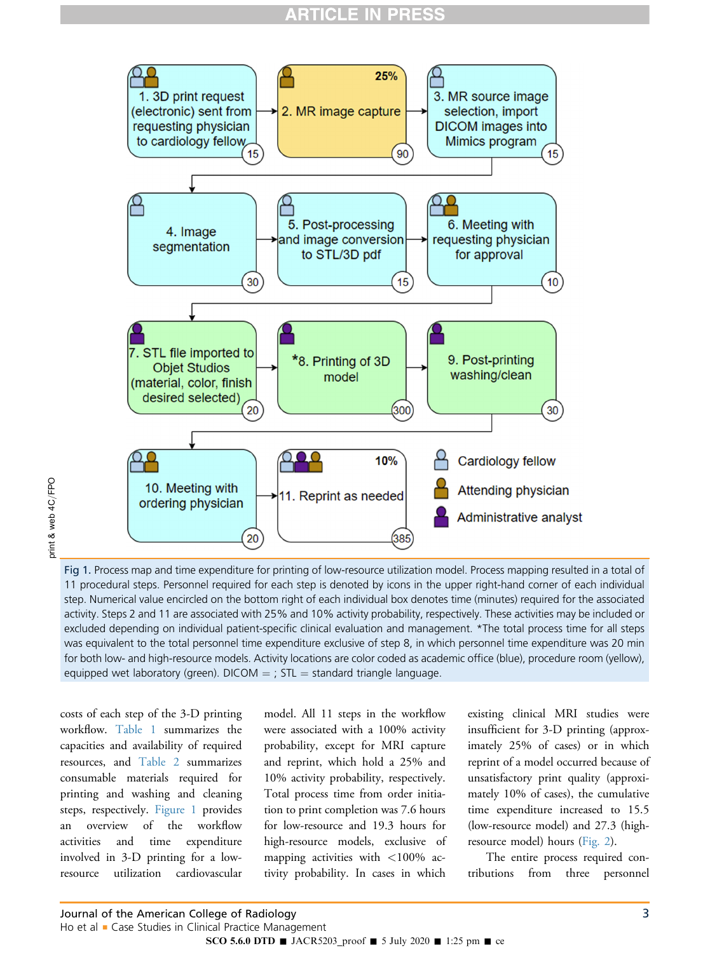## **RTICLE IN PRES**

<span id="page-3-0"></span>

orint & web 4C/FPO print & web 4C/FPO

Fig 1. Process map and time expenditure for printing of low-resource utilization model. Process mapping resulted in a total of 11 procedural steps. Personnel required for each step is denoted by icons in the upper right-hand corner of each individual step. Numerical value encircled on the bottom right of each individual box denotes time (minutes) required for the associated activity. Steps 2 and 11 are associated with 25% and 10% activity probability, respectively. These activities may be included or excluded depending on individual patient-specific clinical evaluation and management. \*The total process time for all steps was equivalent to the total personnel time expenditure exclusive of step 8, in which personnel time expenditure was 20 min for both low- and high-resource models. Activity locations are color coded as academic office (blue), procedure room (yellow), equipped wet laboratory (green). DICOM  $=$  ; STL  $=$  standard triangle language.

costs of each step of the 3-D printing workflow. [Table 1](#page-2-0) summarizes the capacities and availability of required resources, and [Table 2](#page-2-1) summarizes consumable materials required for printing and washing and cleaning steps, respectively. [Figure 1](#page-3-0) provides an overview of the workflow activities and time expenditure involved in 3-D printing for a lowresource utilization cardiovascular

model. All 11 steps in the workflow were associated with a 100% activity probability, except for MRI capture and reprint, which hold a 25% and 10% activity probability, respectively. Total process time from order initiation to print completion was 7.6 hours for low-resource and 19.3 hours for high-resource models, exclusive of mapping activities with <100% activity probability. In cases in which existing clinical MRI studies were insufficient for 3-D printing (approximately 25% of cases) or in which reprint of a model occurred because of unsatisfactory print quality (approximately 10% of cases), the cumulative time expenditure increased to 15.5 (low-resource model) and 27.3 (highresource model) hours [\(Fig. 2](#page-4-0)).

The entire process required contributions from three personnel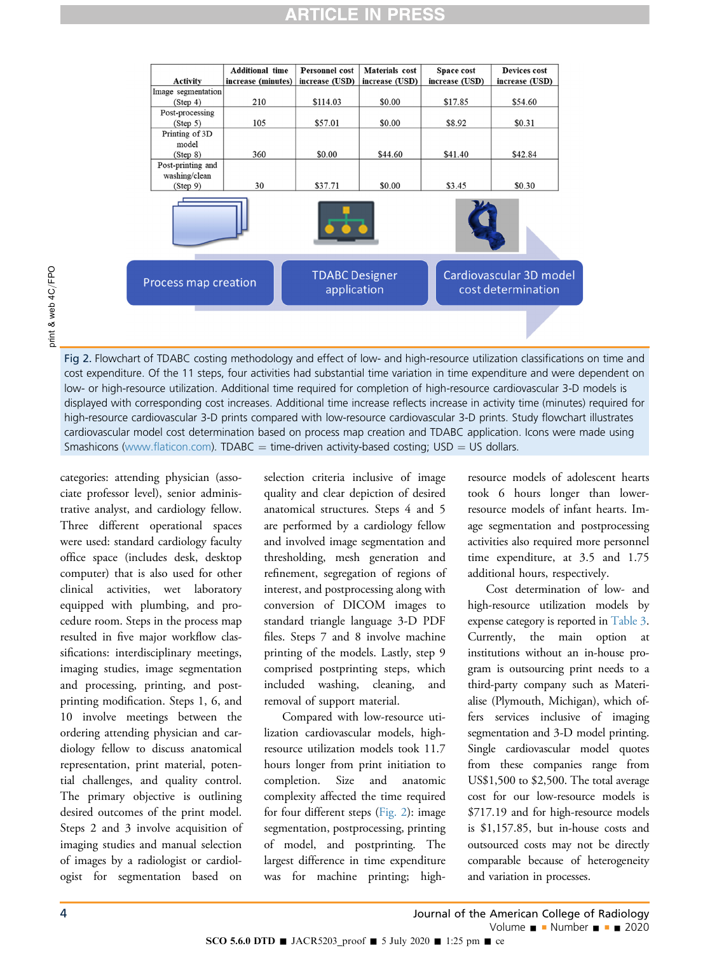## **RTICLE IN PRES**

<span id="page-4-0"></span>

Fig 2. Flowchart of TDABC costing methodology and effect of low- and high-resource utilization classifications on time and cost expenditure. Of the 11 steps, four activities had substantial time variation in time expenditure and were dependent on low- or high-resource utilization. Additional time required for completion of high-resource cardiovascular 3-D models is displayed with corresponding cost increases. Additional time increase reflects increase in activity time (minutes) required for high-resource cardiovascular 3-D prints compared with low-resource cardiovascular 3-D prints. Study flowchart illustrates cardiovascular model cost determination based on process map creation and TDABC application. Icons were made using Smashicons (www.fl[aticon.com](http://www.flaticon.com)).  $TDABC = time-driven$  activity-based costing;  $USD = US$  dollars.

categories: attending physician (associate professor level), senior administrative analyst, and cardiology fellow. Three different operational spaces were used: standard cardiology faculty office space (includes desk, desktop computer) that is also used for other clinical activities, wet laboratory equipped with plumbing, and procedure room. Steps in the process map resulted in five major workflow classifications: interdisciplinary meetings, imaging studies, image segmentation and processing, printing, and postprinting modification. Steps 1, 6, and 10 involve meetings between the ordering attending physician and cardiology fellow to discuss anatomical representation, print material, potential challenges, and quality control. The primary objective is outlining desired outcomes of the print model. Steps 2 and 3 involve acquisition of imaging studies and manual selection of images by a radiologist or cardiologist for segmentation based on

selection criteria inclusive of image quality and clear depiction of desired anatomical structures. Steps 4 and 5 are performed by a cardiology fellow and involved image segmentation and thresholding, mesh generation and refinement, segregation of regions of interest, and postprocessing along with conversion of DICOM images to standard triangle language 3-D PDF files. Steps 7 and 8 involve machine printing of the models. Lastly, step 9 comprised postprinting steps, which included washing, cleaning, and removal of support material.

Compared with low-resource utilization cardiovascular models, highresource utilization models took 11.7 hours longer from print initiation to completion. Size and anatomic complexity affected the time required for four different steps ([Fig. 2](#page-4-0)): image segmentation, postprocessing, printing of model, and postprinting. The largest difference in time expenditure was for machine printing; high-

resource models of adolescent hearts took 6 hours longer than lowerresource models of infant hearts. Image segmentation and postprocessing activities also required more personnel time expenditure, at 3.5 and 1.75 additional hours, respectively.

Cost determination of low- and high-resource utilization models by expense category is reported in [Table 3.](#page-5-6) Currently, the main option at institutions without an in-house program is outsourcing print needs to a third-party company such as Materialise (Plymouth, Michigan), which offers services inclusive of imaging segmentation and 3-D model printing. Single cardiovascular model quotes from these companies range from US\$1,500 to \$2,500. The total average cost for our low-resource models is \$717.19 and for high-resource models is \$1,157.85, but in-house costs and outsourced costs may not be directly comparable because of heterogeneity and variation in processes.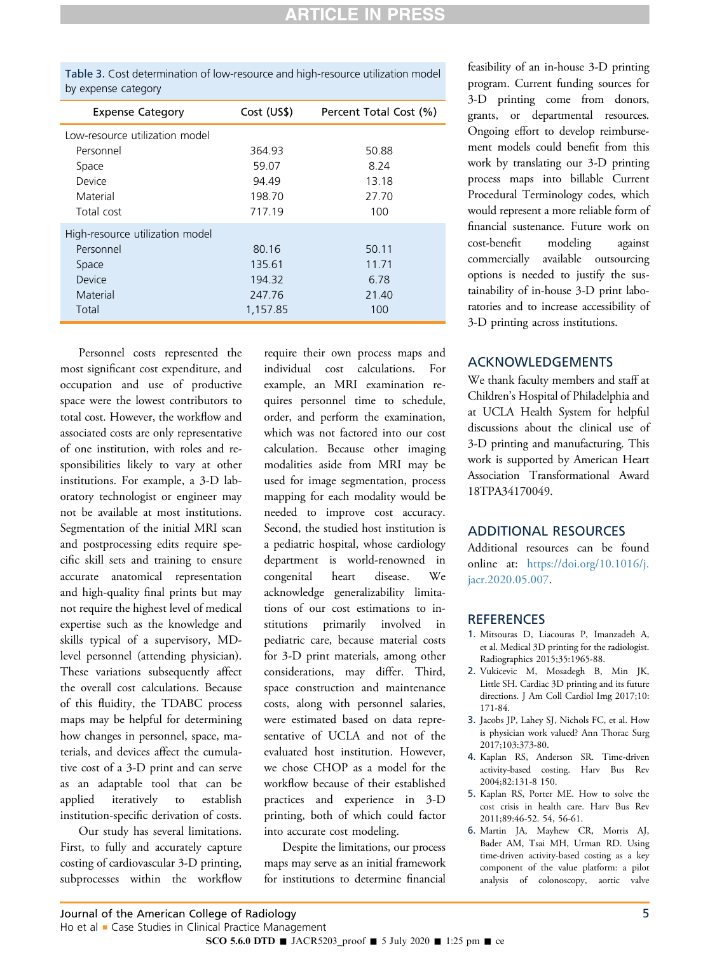<span id="page-5-6"></span>

| Table 3. Cost determination of low-resource and high-resource utilization model |  |  |
|---------------------------------------------------------------------------------|--|--|
| by expense category                                                             |  |  |

| <b>Expense Category</b>         | Cost (US\$) | Percent Total Cost (%) |  |  |
|---------------------------------|-------------|------------------------|--|--|
| Low-resource utilization model  |             |                        |  |  |
| Personnel                       | 364.93      | 50.88                  |  |  |
| Space                           | 59.07       | 8.24                   |  |  |
| Device                          | 94.49       | 13.18                  |  |  |
| Material                        | 198.70      | 27.70                  |  |  |
| Total cost                      | 717.19      | 100                    |  |  |
| High-resource utilization model |             |                        |  |  |
| Personnel                       | 80.16       | 50.11                  |  |  |
| Space                           | 135.61      | 11.71                  |  |  |
| Device                          | 194.32      | 6.78                   |  |  |
| Material                        | 247.76      | 21.40                  |  |  |
| Total                           | 1,157.85    | 100                    |  |  |

Personnel costs represented the most significant cost expenditure, and occupation and use of productive space were the lowest contributors to total cost. However, the workflow and associated costs are only representative of one institution, with roles and responsibilities likely to vary at other institutions. For example, a 3-D laboratory technologist or engineer may not be available at most institutions. Segmentation of the initial MRI scan and postprocessing edits require specific skill sets and training to ensure accurate anatomical representation and high-quality final prints but may not require the highest level of medical expertise such as the knowledge and skills typical of a supervisory, MDlevel personnel (attending physician). These variations subsequently affect the overall cost calculations. Because of this fluidity, the TDABC process maps may be helpful for determining how changes in personnel, space, materials, and devices affect the cumulative cost of a 3-D print and can serve as an adaptable tool that can be applied iteratively to establish institution-specific derivation of costs.

Our study has several limitations. First, to fully and accurately capture costing of cardiovascular 3-D printing, subprocesses within the workflow

require their own process maps and individual cost calculations. For example, an MRI examination requires personnel time to schedule, order, and perform the examination, which was not factored into our cost calculation. Because other imaging modalities aside from MRI may be used for image segmentation, process mapping for each modality would be needed to improve cost accuracy. Second, the studied host institution is a pediatric hospital, whose cardiology department is world-renowned in congenital heart disease. We acknowledge generalizability limitations of our cost estimations to institutions primarily involved in pediatric care, because material costs for 3-D print materials, among other considerations, may differ. Third, space construction and maintenance costs, along with personnel salaries, were estimated based on data representative of UCLA and not of the evaluated host institution. However, we chose CHOP as a model for the workflow because of their established practices and experience in 3-D printing, both of which could factor into accurate cost modeling.

Despite the limitations, our process maps may serve as an initial framework for institutions to determine financial

feasibility of an in-house 3-D printing program. Current funding sources for 3-D printing come from donors, grants, or departmental resources. Ongoing effort to develop reimbursement models could benefit from this work by translating our 3-D printing process maps into billable Current Procedural Terminology codes, which would represent a more reliable form of financial sustenance. Future work on cost-benefit modeling against commercially available outsourcing options is needed to justify the sustainability of in-house 3-D print laboratories and to increase accessibility of 3-D printing across institutions.

## ACKNOWLEDGEMENTS

We thank faculty members and staff at Children's Hospital of Philadelphia and at UCLA Health System for helpful discussions about the clinical use of 3-D printing and manufacturing. This work is supported by American Heart Association Transformational Award 18TPA34170049.

#### ADDITIONAL RESOURCES

Additional resources can be found online at: [https://doi.org/10.1016/j.](https://doi.org/10.1016/j.jacr.2020.05.007) [jacr.2020.05.007.](https://doi.org/10.1016/j.jacr.2020.05.007)

#### <span id="page-5-0"></span>**REFERENCES**

- <span id="page-5-1"></span>1. Mitsouras D, Liacouras P, Imanzadeh A, et al. Medical 3D printing for the radiologist. Radiographics 2015;35:1965-88.
- 2. Vukicevic M, Mosadegh B, Min JK, Little SH. Cardiac 3D printing and its future directions. J Am Coll Cardiol Img 2017;10: 171-84.
- <span id="page-5-3"></span><span id="page-5-2"></span>3. Jacobs JP, Lahey SJ, Nichols FC, et al. How is physician work valued? Ann Thorac Surg 2017;103:373-80.
- <span id="page-5-4"></span>4. Kaplan RS, Anderson SR. Time-driven activity-based costing. Harv Bus Rev 2004;82:131-8 150.
- <span id="page-5-5"></span>5. Kaplan RS, Porter ME. How to solve the cost crisis in health care. Harv Bus Rev 2011;89:46-52. 54, 56-61.
- 6. Martin JA, Mayhew CR, Morris AJ, Bader AM, Tsai MH, Urman RD. Using time-driven activity-based costing as a key component of the value platform: a pilot analysis of colonoscopy, aortic valve